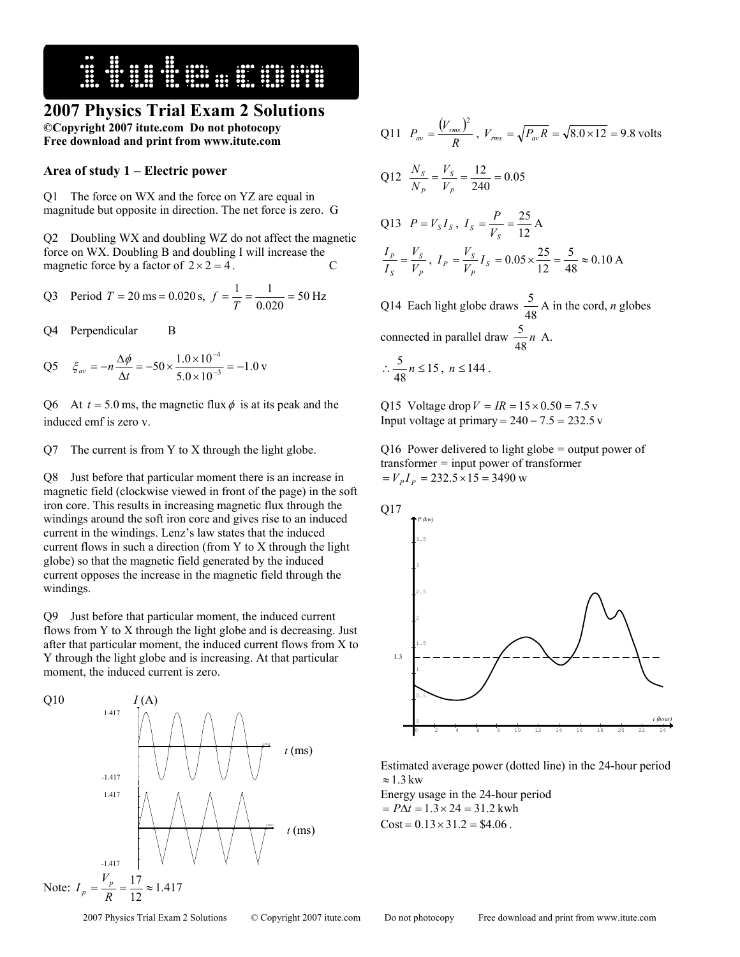

# **2007 Physics Trial Exam 2 Solutions**

**©Copyright 2007 itute.com Do not photocopy Free download and print from www.itute.com** 

### **Area of study 1** − **Electric power**

Q1 The force on WX and the force on YZ are equal in magnitude but opposite in direction. The net force is zero. G

Q2 Doubling WX and doubling WZ do not affect the magnetic force on WX. Doubling B and doubling I will increase the magnetic force by a factor of  $2 \times 2 = 4$ .

Q3 Period 
$$
T = 20 \text{ ms} = 0.020 \text{ s}, f = \frac{1}{T} = \frac{1}{0.020} = 50 \text{ Hz}
$$

Q4 Perpendicular B

Q5 
$$
\xi_{av} = -n \frac{\Delta \phi}{\Delta t} = -50 \times \frac{1.0 \times 10^{-4}}{5.0 \times 10^{-3}} = -1.0 \text{ v}
$$

Q6 At  $t = 5.0$  ms, the magnetic flux  $\phi$  is at its peak and the induced emf is zero v.

#### Q7 The current is from Y to X through the light globe.

Q8 Just before that particular moment there is an increase in magnetic field (clockwise viewed in front of the page) in the soft iron core. This results in increasing magnetic flux through the windings around the soft iron core and gives rise to an induced current in the windings. Lenz's law states that the induced current flows in such a direction (from Y to X through the light globe) so that the magnetic field generated by the induced current opposes the increase in the magnetic field through the windings.

Q9 Just before that particular moment, the induced current flows from Y to X through the light globe and is decreasing. Just after that particular moment, the induced current flows from X to Y through the light globe and is increasing. At that particular moment, the induced current is zero.



Q11 
$$
P_{av} = \frac{(V_{rms})^2}{R}
$$
,  $V_{rms} = \sqrt{P_{av}R} = \sqrt{8.0 \times 12} = 9.8$  volts  
\nQ12  $\frac{N_S}{N_P} = \frac{V_S}{V_P} = \frac{12}{240} = 0.05$   
\nQ13  $P = V_S I_S$ ,  $I_S = \frac{P}{V_S} = \frac{25}{12}$  A  
\n $\frac{I_P}{I_S} = \frac{V_S}{V_P}$ ,  $I_P = \frac{V_S}{V_P} I_S = 0.05 \times \frac{25}{12} = \frac{5}{48} \approx 0.10$  A  
\nQ14 Each light globe draws  $\frac{5}{48}$  A in the cord, *n* globes

connected in parallel draw  $\frac{5}{48}n$  A.

2

$$
\therefore \frac{5}{48} n \le 15, n \le 144.
$$

Q15 Voltage drop  $V = IR = 15 \times 0.50 = 7.5$  v Input voltage at primary =  $240 - 7.5 = 232.5$  v

Q16 Power delivered to light globe *=* output power of transformer *=* input power of transformer  $= V_p I_p = 232.5 \times 15 = 3490$  w



Estimated average power (dotted line) in the 24-hour period  $\approx 1.3 \text{ kW}$ 

Energy usage in the 24-hour period  $P\Delta t = 1.3 \times 24 = 31.2$  kwh  $Cost = 0.13 \times 31.2 = $4.06$ .